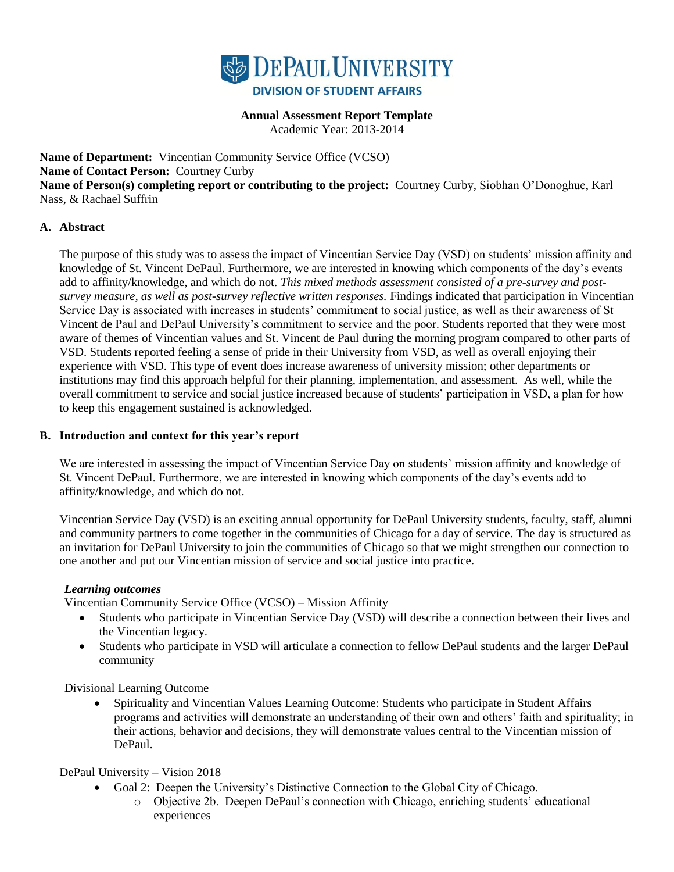

# **Annual Assessment Report Template**

Academic Year: 2013-2014

**Name of Department:** Vincentian Community Service Office (VCSO)

**Name of Contact Person:** Courtney Curby

**Name of Person(s) completing report or contributing to the project:** Courtney Curby, Siobhan O'Donoghue, Karl Nass, & Rachael Suffrin

#### **A. Abstract**

The purpose of this study was to assess the impact of Vincentian Service Day (VSD) on students' mission affinity and knowledge of St. Vincent DePaul. Furthermore, we are interested in knowing which components of the day's events add to affinity/knowledge, and which do not. *This mixed methods assessment consisted of a pre-survey and postsurvey measure, as well as post-survey reflective written responses.* Findings indicated that participation in Vincentian Service Day is associated with increases in students' commitment to social justice, as well as their awareness of St Vincent de Paul and DePaul University's commitment to service and the poor. Students reported that they were most aware of themes of Vincentian values and St. Vincent de Paul during the morning program compared to other parts of VSD. Students reported feeling a sense of pride in their University from VSD, as well as overall enjoying their experience with VSD. This type of event does increase awareness of university mission; other departments or institutions may find this approach helpful for their planning, implementation, and assessment. As well, while the overall commitment to service and social justice increased because of students' participation in VSD, a plan for how to keep this engagement sustained is acknowledged.

#### **B. Introduction and context for this year's report**

We are interested in assessing the impact of Vincentian Service Day on students' mission affinity and knowledge of St. Vincent DePaul. Furthermore, we are interested in knowing which components of the day's events add to affinity/knowledge, and which do not.

Vincentian Service Day (VSD) is an exciting annual opportunity for DePaul University students, faculty, staff, alumni and community partners to come together in the communities of Chicago for a day of service. The day is structured as an invitation for DePaul University to join the communities of Chicago so that we might strengthen our connection to one another and put our Vincentian mission of service and social justice into practice.

#### *Learning outcomes*

Vincentian Community Service Office (VCSO) – Mission Affinity

- Students who participate in Vincentian Service Day (VSD) will describe a connection between their lives and the Vincentian legacy.
- Students who participate in VSD will articulate a connection to fellow DePaul students and the larger DePaul community

Divisional Learning Outcome

 Spirituality and Vincentian Values Learning Outcome: Students who participate in Student Affairs programs and activities will demonstrate an understanding of their own and others' faith and spirituality; in their actions, behavior and decisions, they will demonstrate values central to the Vincentian mission of DePaul.

#### DePaul University – Vision 2018

- Goal 2: Deepen the University's Distinctive Connection to the Global City of Chicago.
	- o Objective 2b. Deepen DePaul's connection with Chicago, enriching students' educational experiences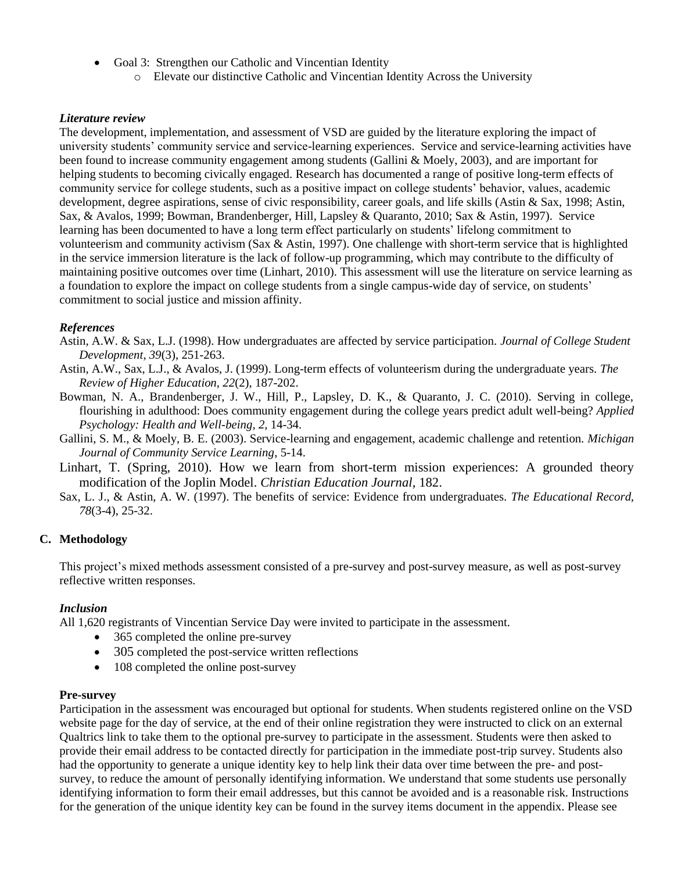- Goal 3: Strengthen our Catholic and Vincentian Identity
	- o Elevate our distinctive Catholic and Vincentian Identity Across the University

#### *Literature review*

The development, implementation, and assessment of VSD are guided by the literature exploring the impact of university students' community service and service-learning experiences. Service and service-learning activities have been found to increase community engagement among students (Gallini & Moely, 2003), and are important for helping students to becoming civically engaged. Research has documented a range of positive long-term effects of community service for college students, such as a positive impact on college students' behavior, values, academic development, degree aspirations, sense of civic responsibility, career goals, and life skills (Astin & Sax, 1998; Astin, Sax, & Avalos, 1999; Bowman, Brandenberger, Hill, Lapsley & Quaranto, 2010; Sax & Astin, 1997). Service learning has been documented to have a long term effect particularly on students' lifelong commitment to volunteerism and community activism (Sax & Astin, 1997). One challenge with short-term service that is highlighted in the service immersion literature is the lack of follow-up programming, which may contribute to the difficulty of maintaining positive outcomes over time (Linhart, 2010). This assessment will use the literature on service learning as a foundation to explore the impact on college students from a single campus-wide day of service, on students' commitment to social justice and mission affinity.

#### *References*

- Astin, A.W. & Sax, L.J. (1998). How undergraduates are affected by service participation. *Journal of College Student Development, 39*(3), 251-263.
- Astin, A.W., Sax, L.J., & Avalos, J. (1999). Long-term effects of volunteerism during the undergraduate years. *The Review of Higher Education, 22*(2), 187-202.
- Bowman, N. A., Brandenberger, J. W., Hill, P., Lapsley, D. K., & Quaranto, J. C. (2010). Serving in college, flourishing in adulthood: Does community engagement during the college years predict adult well-being? *Applied Psychology: Health and Well-being, 2,* 14-34.
- Gallini, S. M., & Moely, B. E. (2003). Service-learning and engagement, academic challenge and retention. *Michigan Journal of Community Service Learning*, 5-14.
- Linhart, T. (Spring, 2010). How we learn from short-term mission experiences: A grounded theory modification of the Joplin Model. *Christian Education Journal,* 182.
- Sax, L. J., & Astin, A. W. (1997). The benefits of service: Evidence from undergraduates. *The Educational Record, 78*(3-4), 25-32.

# **C. Methodology**

This project's mixed methods assessment consisted of a pre-survey and post-survey measure, as well as post-survey reflective written responses.

#### *Inclusion*

All 1,620 registrants of Vincentian Service Day were invited to participate in the assessment.

- 365 completed the online pre-survey
- 305 completed the post-service written reflections
- 108 completed the online post-survey

#### **Pre-survey**

Participation in the assessment was encouraged but optional for students. When students registered online on the VSD website page for the day of service, at the end of their online registration they were instructed to click on an external Qualtrics link to take them to the optional pre-survey to participate in the assessment. Students were then asked to provide their email address to be contacted directly for participation in the immediate post-trip survey. Students also had the opportunity to generate a unique identity key to help link their data over time between the pre- and postsurvey, to reduce the amount of personally identifying information. We understand that some students use personally identifying information to form their email addresses, but this cannot be avoided and is a reasonable risk. Instructions for the generation of the unique identity key can be found in the survey items document in the appendix. Please see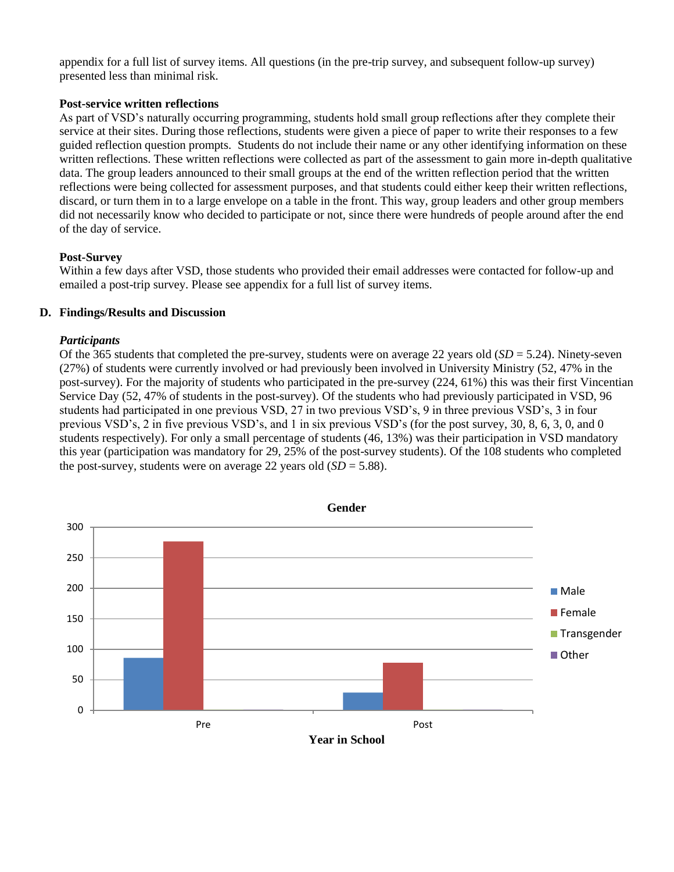appendix for a full list of survey items. All questions (in the pre-trip survey, and subsequent follow-up survey) presented less than minimal risk.

#### **Post-service written reflections**

As part of VSD's naturally occurring programming, students hold small group reflections after they complete their service at their sites. During those reflections, students were given a piece of paper to write their responses to a few guided reflection question prompts. Students do not include their name or any other identifying information on these written reflections. These written reflections were collected as part of the assessment to gain more in-depth qualitative data. The group leaders announced to their small groups at the end of the written reflection period that the written reflections were being collected for assessment purposes, and that students could either keep their written reflections, discard, or turn them in to a large envelope on a table in the front. This way, group leaders and other group members did not necessarily know who decided to participate or not, since there were hundreds of people around after the end of the day of service.

#### **Post-Survey**

Within a few days after VSD, those students who provided their email addresses were contacted for follow-up and emailed a post-trip survey. Please see appendix for a full list of survey items.

#### **D. Findings/Results and Discussion**

#### *Participants*

Of the 365 students that completed the pre-survey, students were on average 22 years old (*SD* = 5.24). Ninety-seven (27%) of students were currently involved or had previously been involved in University Ministry (52, 47% in the post-survey). For the majority of students who participated in the pre-survey (224, 61%) this was their first Vincentian Service Day (52, 47% of students in the post-survey). Of the students who had previously participated in VSD, 96 students had participated in one previous VSD, 27 in two previous VSD's, 9 in three previous VSD's, 3 in four previous VSD's, 2 in five previous VSD's, and 1 in six previous VSD's (for the post survey, 30, 8, 6, 3, 0, and 0 students respectively). For only a small percentage of students (46, 13%) was their participation in VSD mandatory this year (participation was mandatory for 29, 25% of the post-survey students). Of the 108 students who completed the post-survey, students were on average 22 years old  $(SD = 5.88)$ .

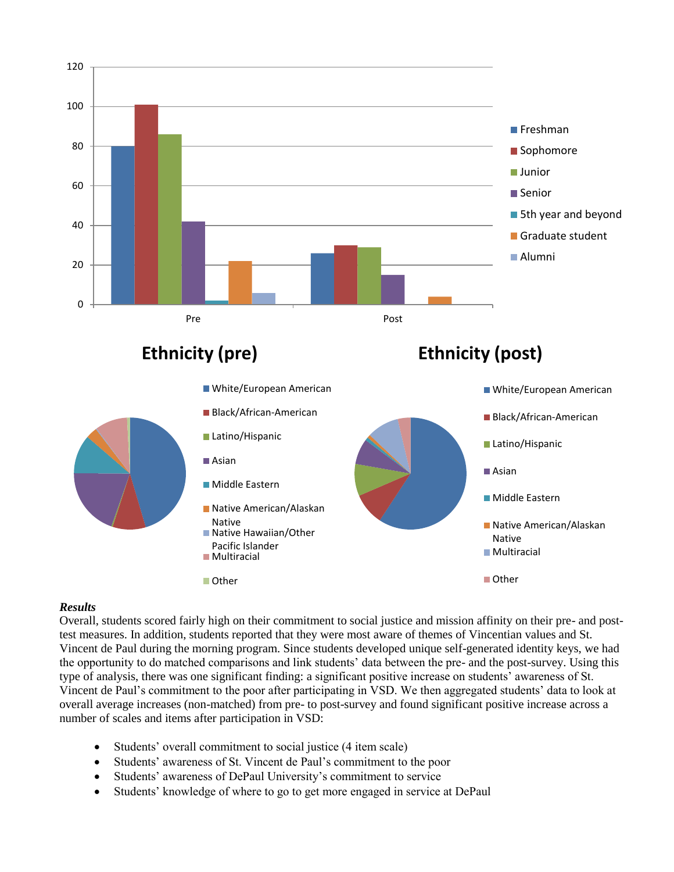

#### *Results*

Overall, students scored fairly high on their commitment to social justice and mission affinity on their pre- and posttest measures. In addition, students reported that they were most aware of themes of Vincentian values and St. Vincent de Paul during the morning program. Since students developed unique self-generated identity keys, we had the opportunity to do matched comparisons and link students' data between the pre- and the post-survey. Using this type of analysis, there was one significant finding: a significant positive increase on students' awareness of St. Vincent de Paul's commitment to the poor after participating in VSD. We then aggregated students' data to look at overall average increases (non-matched) from pre- to post-survey and found significant positive increase across a number of scales and items after participation in VSD:

- Students' overall commitment to social justice (4 item scale)
- Students' awareness of St. Vincent de Paul's commitment to the poor
- Students' awareness of DePaul University's commitment to service
- Students' knowledge of where to go to get more engaged in service at DePaul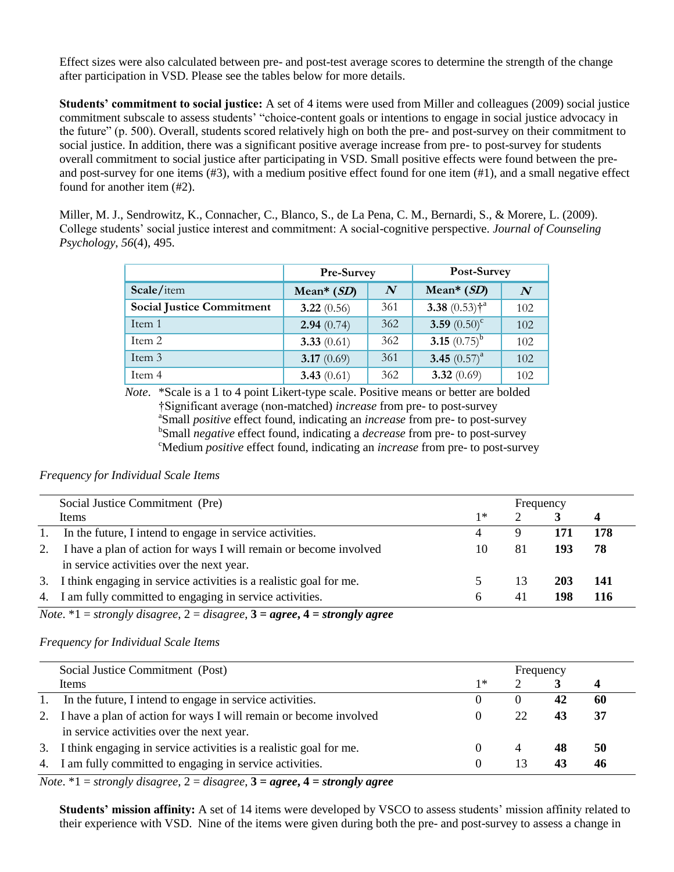Effect sizes were also calculated between pre- and post-test average scores to determine the strength of the change after participation in VSD. Please see the tables below for more details.

**Students' commitment to social justice:** A set of 4 items were used from Miller and colleagues (2009) social justice commitment subscale to assess students' "choice-content goals or intentions to engage in social justice advocacy in the future" (p. 500). Overall, students scored relatively high on both the pre- and post-survey on their commitment to social justice. In addition, there was a significant positive average increase from pre- to post-survey for students overall commitment to social justice after participating in VSD. Small positive effects were found between the preand post-survey for one items (#3), with a medium positive effect found for one item (#1), and a small negative effect found for another item (#2).

Miller, M. J., Sendrowitz, K., Connacher, C., Blanco, S., de La Pena, C. M., Bernardi, S., & Morere, L. (2009). College students' social justice interest and commitment: A social-cognitive perspective. *Journal of Counseling Psychology*, *56*(4), 495.

|                                  | Pre-Survey    |                  | Post-Survey                |                  |
|----------------------------------|---------------|------------------|----------------------------|------------------|
| Scale/item                       | Mean* $(SD)$  | $\boldsymbol{N}$ | Mean* $(SD)$               | $\boldsymbol{N}$ |
| <b>Social Justice Commitment</b> | 3.22 $(0.56)$ | 361              | 3.38 $(0.53)$ <sup>*</sup> | 102              |
| Item 1                           | 2.94(0.74)    | 362              | 3.59 $(0.50)^c$            | 102              |
| Item 2                           | 3.33 $(0.61)$ | 362              | 3.15 $(0.75)^{b}$          | 102              |
| Item 3                           | 3.17 $(0.69)$ | 361              | 3.45 $(0.57)^a$            | 102              |
| Item 4                           | 3.43 $(0.61)$ | 362              | 3.32 $(0.69)$              | 102              |

 *Note*. \*Scale is a 1 to 4 point Likert-type scale. Positive means or better are bolded †Significant average (non-matched) *increase* from pre- to post-survey <sup>a</sup>Small *positive* effect found, indicating an *increase* from pre- to post-survey <sup>b</sup>Small *negative* effect found, indicating a *decrease* from pre- to post-survey <sup>c</sup>Medium *positive* effect found, indicating an *increase* from pre- to post-survey

#### *Frequency for Individual Scale Items*

| Social Justice Commitment (Pre)                                   |                                                                                                                                                                                                          |    |            |           |
|-------------------------------------------------------------------|----------------------------------------------------------------------------------------------------------------------------------------------------------------------------------------------------------|----|------------|-----------|
| Items                                                             | $1*$                                                                                                                                                                                                     |    |            |           |
|                                                                   |                                                                                                                                                                                                          | Ч  | 171        | 178       |
| I have a plan of action for ways I will remain or become involved | 10                                                                                                                                                                                                       | 81 | 193        | -78       |
| in service activities over the next year.                         |                                                                                                                                                                                                          |    |            |           |
|                                                                   |                                                                                                                                                                                                          | 13 | <b>203</b> | -141      |
|                                                                   | h                                                                                                                                                                                                        | 41 | 198        | -116      |
|                                                                   | 1. In the future, I intend to engage in service activities.<br>2.<br>3. I think engaging in service activities is a realistic goal for me.<br>4. I am fully committed to engaging in service activities. |    |            | Frequency |

*Note*. \*1 = *strongly disagree*, 2 = *disagree*, **3 =** *agree***, 4 =** *strongly agree*

#### *Frequency for Individual Scale Items*

| Social Justice Commitment (Post) |                                                                       | Frequency |    |    |    |  |
|----------------------------------|-----------------------------------------------------------------------|-----------|----|----|----|--|
|                                  | Items                                                                 | 1∗        |    |    |    |  |
| 1.                               | In the future, I intend to engage in service activities.              |           |    | 42 | 60 |  |
| 2.                               | I have a plan of action for ways I will remain or become involved     |           | 22 | 43 | 37 |  |
|                                  | in service activities over the next year.                             |           |    |    |    |  |
|                                  | 3. I think engaging in service activities is a realistic goal for me. |           | 4  | 48 | 50 |  |
|                                  | 4. I am fully committed to engaging in service activities.            |           | 13 | 43 | 46 |  |

*Note*.  $*1 =$  *strongly disagree,*  $2 =$  *disagree,*  $3 =$  *agree,*  $4 =$  *strongly agree* 

**Students' mission affinity:** A set of 14 items were developed by VSCO to assess students' mission affinity related to their experience with VSD. Nine of the items were given during both the pre- and post-survey to assess a change in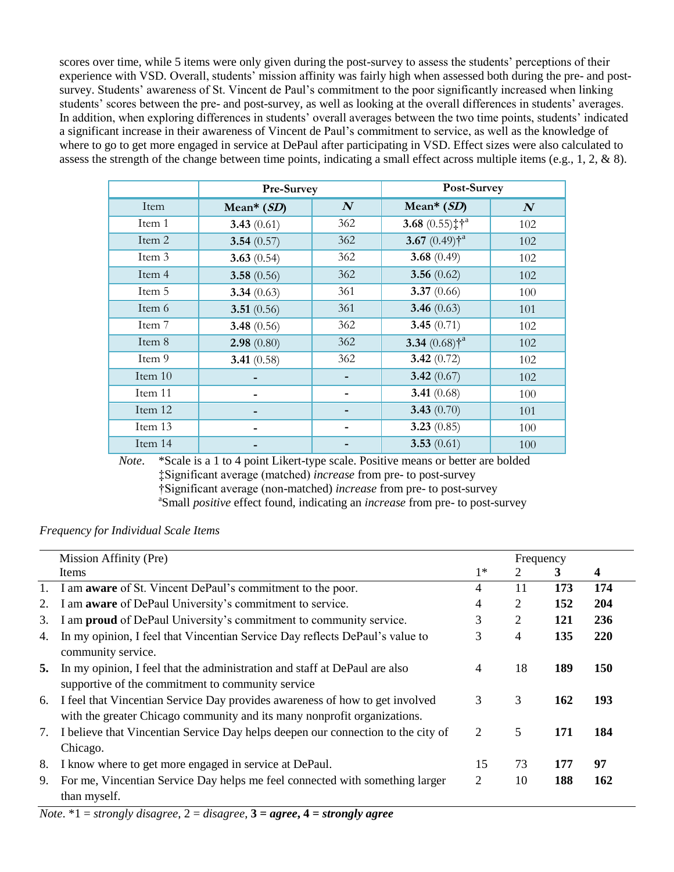scores over time, while 5 items were only given during the post-survey to assess the students' perceptions of their experience with VSD. Overall, students' mission affinity was fairly high when assessed both during the pre- and postsurvey. Students' awareness of St. Vincent de Paul's commitment to the poor significantly increased when linking students' scores between the pre- and post-survey, as well as looking at the overall differences in students' averages. In addition, when exploring differences in students' overall averages between the two time points, students' indicated a significant increase in their awareness of Vincent de Paul's commitment to service, as well as the knowledge of where to go to get more engaged in service at DePaul after participating in VSD. Effect sizes were also calculated to assess the strength of the change between time points, indicating a small effect across multiple items (e.g., 1, 2, & 8).

|           | Pre-Survey    |                  | Post-Survey                            |          |  |
|-----------|---------------|------------------|----------------------------------------|----------|--|
| Item      | Mean* $(SD)$  | $\boldsymbol{N}$ | Mean* $(SD)$                           | $\bm{N}$ |  |
| Item 1    | 3.43 $(0.61)$ | 362              | 3.68 $(0.55)$ ; $\dagger$ <sup>a</sup> | 102      |  |
| Item 2    | 3.54 $(0.57)$ | 362              | 3.67 $(0.49)$ <sup>*</sup>             | 102      |  |
| Item 3    | 3.63 $(0.54)$ | 362              | 3.68 $(0.49)$                          | 102      |  |
| Item 4    | 3.58 $(0.56)$ | 362              | 3.56 $(0.62)$                          | 102      |  |
| Item 5    | 3.34(0.63)    | 361              | 3.37 $(0.66)$                          | 100      |  |
| Item 6    | 3.51 $(0.56)$ | 361              | 3.46 $(0.63)$                          | 101      |  |
| Item 7    | 3.48 $(0.56)$ | 362              | 3.45 $(0.71)$                          | 102      |  |
| Item 8    | 2.98(0.80)    | 362              | 3.34 $(0.68)$ <sup>*</sup>             | 102      |  |
| Item 9    | 3.41 $(0.58)$ | 362              | 3.42 $(0.72)$                          | 102      |  |
| Item $10$ |               |                  | 3.42 $(0.67)$                          | 102      |  |
| Item 11   |               |                  | 3.41 $(0.68)$                          | 100      |  |
| Item 12   |               |                  | 3.43 $(0.70)$                          | 101      |  |
| Item 13   |               |                  | 3.23 $(0.85)$                          | 100      |  |
| Item 14   |               |                  | 3.53 $(0.61)$                          | 100      |  |

*Note*. \*Scale is a 1 to 4 point Likert-type scale. Positive means or better are bolded ‡Significant average (matched) *increase* from pre- to post-survey †Significant average (non-matched) *increase* from pre- to post-survey a Small *positive* effect found, indicating an *increase* from pre- to post-survey

# *Frequency for Individual Scale Items*

|    | Mission Affinity (Pre)                                                                                                                                   |      | Frequency      |     |            |
|----|----------------------------------------------------------------------------------------------------------------------------------------------------------|------|----------------|-----|------------|
|    | Items                                                                                                                                                    | $1*$ | 2              | 3   | 4          |
|    | 1. I am <b>aware</b> of St. Vincent DePaul's commitment to the poor.                                                                                     | 4    | 11             | 173 | 174        |
| 2. | I am <b>aware</b> of DePaul University's commitment to service.                                                                                          | 4    | 2              | 152 | 204        |
| 3. | I am <b>proud</b> of DePaul University's commitment to community service.                                                                                | 3    | 2              | 121 | 236        |
| 4. | In my opinion, I feel that Vincentian Service Day reflects DePaul's value to<br>community service.                                                       | 3    | $\overline{4}$ | 135 | 220        |
| 5. | In my opinion, I feel that the administration and staff at DePaul are also<br>supportive of the commitment to community service                          | 4    | 18             | 189 | <b>150</b> |
| 6. | I feel that Vincentian Service Day provides awareness of how to get involved<br>with the greater Chicago community and its many nonprofit organizations. | 3    | 3              | 162 | 193        |
| 7. | I believe that Vincentian Service Day helps deepen our connection to the city of<br>Chicago.                                                             | 2    | 5              | 171 | 184        |
| 8. | I know where to get more engaged in service at DePaul.                                                                                                   | 15   | 73             | 177 | 97         |
| 9. | For me, Vincentian Service Day helps me feel connected with something larger<br>than myself.                                                             | 2    | 10             | 188 | 162        |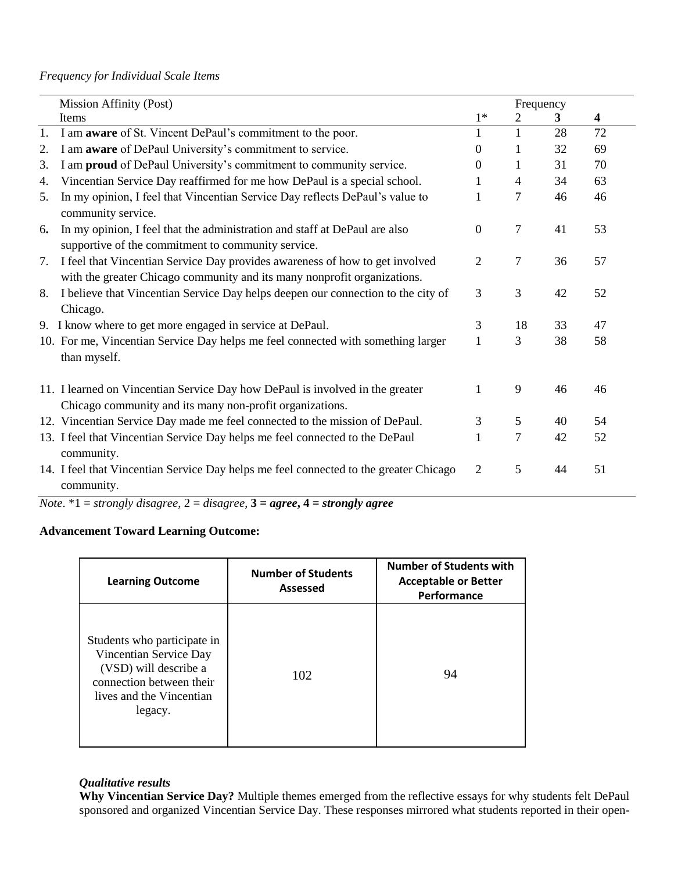# *Frequency for Individual Scale Items*

| Mission Affinity (Post) |                                                                                                                                                          |                  | Frequency      |    |    |
|-------------------------|----------------------------------------------------------------------------------------------------------------------------------------------------------|------------------|----------------|----|----|
|                         | Items                                                                                                                                                    | $1*$             | 2              | 3  | 4  |
| 1.                      | I am <b>aware</b> of St. Vincent DePaul's commitment to the poor.                                                                                        | $\mathbf{1}$     | $\mathbf{1}$   | 28 | 72 |
| 2.                      | I am <b>aware</b> of DePaul University's commitment to service.                                                                                          | $\boldsymbol{0}$ | 1              | 32 | 69 |
| 3.                      | I am proud of DePaul University's commitment to community service.                                                                                       | $\Omega$         | 1              | 31 | 70 |
| 4.                      | Vincentian Service Day reaffirmed for me how DePaul is a special school.                                                                                 | 1                | $\overline{4}$ | 34 | 63 |
| 5.                      | In my opinion, I feel that Vincentian Service Day reflects DePaul's value to<br>community service.                                                       | 1                | 7              | 46 | 46 |
| 6.                      | In my opinion, I feel that the administration and staff at DePaul are also<br>supportive of the commitment to community service.                         | $\Omega$         | $\tau$         | 41 | 53 |
| 7.                      | I feel that Vincentian Service Day provides awareness of how to get involved<br>with the greater Chicago community and its many nonprofit organizations. | 2                | 7              | 36 | 57 |
| 8.                      | I believe that Vincentian Service Day helps deepen our connection to the city of<br>Chicago.                                                             | 3                | 3              | 42 | 52 |
|                         | 9. I know where to get more engaged in service at DePaul.                                                                                                | 3                | 18             | 33 | 47 |
|                         | 10. For me, Vincentian Service Day helps me feel connected with something larger<br>than myself.                                                         | 1                | 3              | 38 | 58 |
|                         | 11. I learned on Vincentian Service Day how DePaul is involved in the greater<br>Chicago community and its many non-profit organizations.                | 1                | 9              | 46 | 46 |
|                         | 12. Vincentian Service Day made me feel connected to the mission of DePaul.                                                                              | 3                | 5              | 40 | 54 |
|                         | 13. I feel that Vincentian Service Day helps me feel connected to the DePaul<br>community.                                                               | 1                | $\overline{7}$ | 42 | 52 |
|                         | 14. I feel that Vincentian Service Day helps me feel connected to the greater Chicago<br>community.                                                      | 2                | 5              | 44 | 51 |

*Note*. \*1 = *strongly disagree*, 2 = *disagree*, **3 =** *agree***, 4 =** *strongly agree*

# **Advancement Toward Learning Outcome:**

| <b>Number of Students</b>                                                                                                                         |     | <b>Number of Students with</b> |
|---------------------------------------------------------------------------------------------------------------------------------------------------|-----|--------------------------------|
| <b>Learning Outcome</b>                                                                                                                           |     | <b>Acceptable or Better</b>    |
| Assessed                                                                                                                                          |     | Performance                    |
| Students who participate in<br>Vincentian Service Day<br>(VSD) will describe a<br>connection between their<br>lives and the Vincentian<br>legacy. | 102 | 94                             |

#### *Qualitative results*

**Why Vincentian Service Day?** Multiple themes emerged from the reflective essays for why students felt DePaul sponsored and organized Vincentian Service Day. These responses mirrored what students reported in their open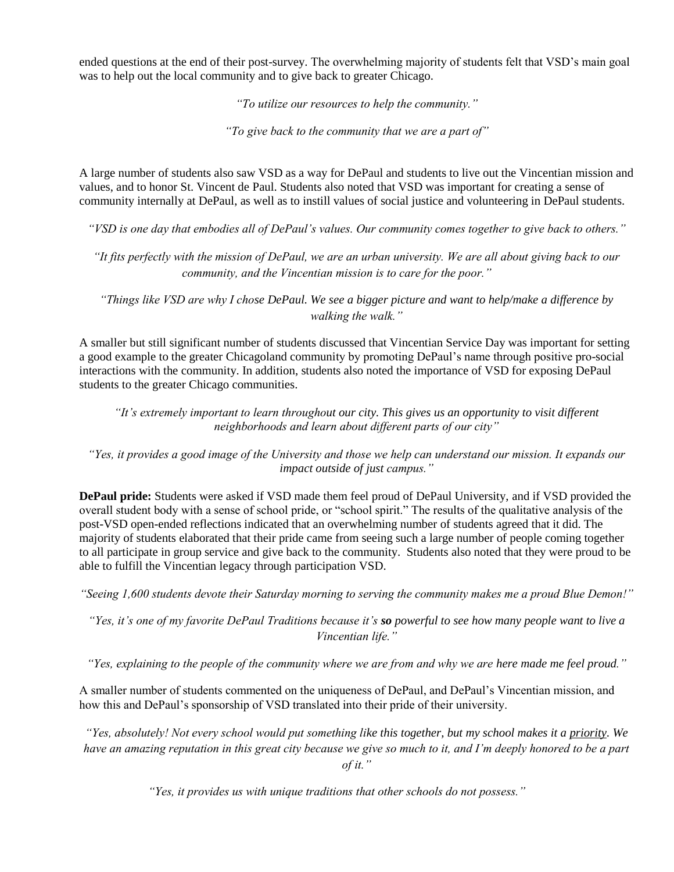ended questions at the end of their post-survey. The overwhelming majority of students felt that VSD's main goal was to help out the local community and to give back to greater Chicago.

*"To utilize our resources to help the community."*

*"To give back to the community that we are a part of"* 

A large number of students also saw VSD as a way for DePaul and students to live out the Vincentian mission and values, and to honor St. Vincent de Paul. Students also noted that VSD was important for creating a sense of community internally at DePaul, as well as to instill values of social justice and volunteering in DePaul students.

*"VSD is one day that embodies all of DePaul's values. Our community comes together to give back to others."*

*"It fits perfectly with the mission of DePaul, we are an urban university. We are all about giving back to our community, and the Vincentian mission is to care for the poor."*

*"Things like VSD are why I chose DePaul. We see a bigger picture and want to help/make a difference by walking the walk."*

A smaller but still significant number of students discussed that Vincentian Service Day was important for setting a good example to the greater Chicagoland community by promoting DePaul's name through positive pro-social interactions with the community. In addition, students also noted the importance of VSD for exposing DePaul students to the greater Chicago communities.

*"It's extremely important to learn throughout our city. This gives us an opportunity to visit different neighborhoods and learn about different parts of our city"*

*"Yes, it provides a good image of the University and those we help can understand our mission. It expands our impact outside of just campus."*

**DePaul pride:** Students were asked if VSD made them feel proud of DePaul University, and if VSD provided the overall student body with a sense of school pride, or "school spirit." The results of the qualitative analysis of the post-VSD open-ended reflections indicated that an overwhelming number of students agreed that it did. The majority of students elaborated that their pride came from seeing such a large number of people coming together to all participate in group service and give back to the community. Students also noted that they were proud to be able to fulfill the Vincentian legacy through participation VSD.

*"Seeing 1,600 students devote their Saturday morning to serving the community makes me a proud Blue Demon!"*

*"Yes, it's one of my favorite DePaul Traditions because it's so powerful to see how many people want to live a Vincentian life."*

*"Yes, explaining to the people of the community where we are from and why we are here made me feel proud."*

A smaller number of students commented on the uniqueness of DePaul, and DePaul's Vincentian mission, and how this and DePaul's sponsorship of VSD translated into their pride of their university.

*"Yes, absolutely! Not every school would put something like this together, but my school makes it a priority. We have an amazing reputation in this great city because we give so much to it, and I'm deeply honored to be a part of it."*

*"Yes, it provides us with unique traditions that other schools do not possess."*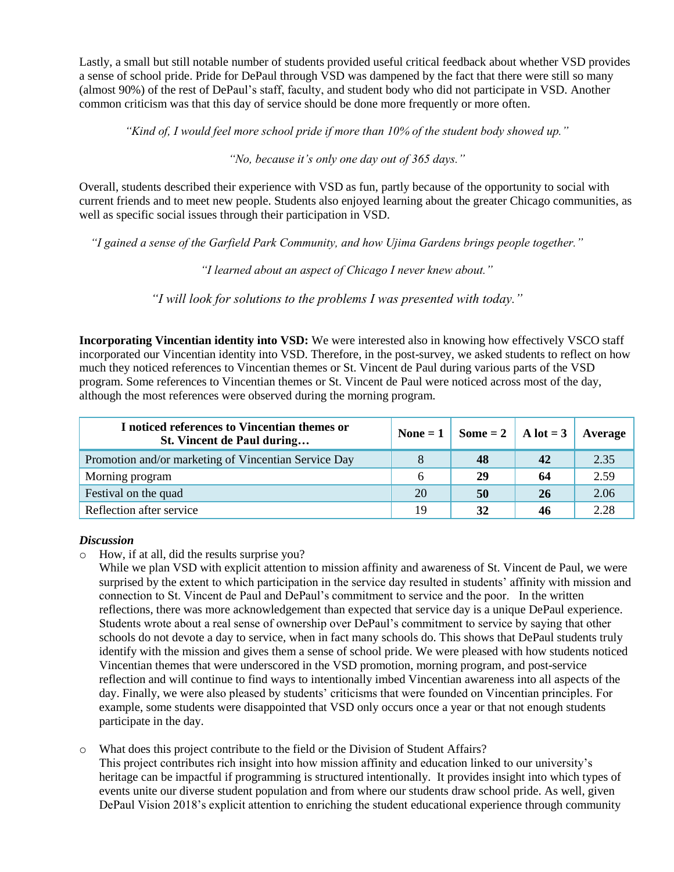Lastly, a small but still notable number of students provided useful critical feedback about whether VSD provides a sense of school pride. Pride for DePaul through VSD was dampened by the fact that there were still so many (almost 90%) of the rest of DePaul's staff, faculty, and student body who did not participate in VSD. Another common criticism was that this day of service should be done more frequently or more often.

*"Kind of, I would feel more school pride if more than 10% of the student body showed up."*

*"No, because it's only one day out of 365 days."*

Overall, students described their experience with VSD as fun, partly because of the opportunity to social with current friends and to meet new people. Students also enjoyed learning about the greater Chicago communities, as well as specific social issues through their participation in VSD.

*"I gained a sense of the Garfield Park Community, and how Ujima Gardens brings people together."*

*"I learned about an aspect of Chicago I never knew about."*

*"I will look for solutions to the problems I was presented with today."*

**Incorporating Vincentian identity into VSD:** We were interested also in knowing how effectively VSCO staff incorporated our Vincentian identity into VSD. Therefore, in the post-survey, we asked students to reflect on how much they noticed references to Vincentian themes or St. Vincent de Paul during various parts of the VSD program. Some references to Vincentian themes or St. Vincent de Paul were noticed across most of the day, although the most references were observed during the morning program.

| I noticed references to Vincentian themes or<br>St. Vincent de Paul during |    | None = $1 \mid$ Some = $2 \mid$ A lot = $3 \mid$ Average |    |      |
|----------------------------------------------------------------------------|----|----------------------------------------------------------|----|------|
| Promotion and/or marketing of Vincentian Service Day                       |    | 48                                                       | 42 | 2.35 |
| Morning program                                                            | 6  | 29                                                       | 64 | 2.59 |
| Festival on the quad                                                       | 20 | 50                                                       | 26 | 2.06 |
| Reflection after service                                                   | 19 | 32                                                       | 46 | 2.28 |

#### *Discussion*

o How, if at all, did the results surprise you?

While we plan VSD with explicit attention to mission affinity and awareness of St. Vincent de Paul, we were surprised by the extent to which participation in the service day resulted in students' affinity with mission and connection to St. Vincent de Paul and DePaul's commitment to service and the poor. In the written reflections, there was more acknowledgement than expected that service day is a unique DePaul experience. Students wrote about a real sense of ownership over DePaul's commitment to service by saying that other schools do not devote a day to service, when in fact many schools do. This shows that DePaul students truly identify with the mission and gives them a sense of school pride. We were pleased with how students noticed Vincentian themes that were underscored in the VSD promotion, morning program, and post-service reflection and will continue to find ways to intentionally imbed Vincentian awareness into all aspects of the day. Finally, we were also pleased by students' criticisms that were founded on Vincentian principles. For example, some students were disappointed that VSD only occurs once a year or that not enough students participate in the day.

o What does this project contribute to the field or the Division of Student Affairs?

This project contributes rich insight into how mission affinity and education linked to our university's heritage can be impactful if programming is structured intentionally. It provides insight into which types of events unite our diverse student population and from where our students draw school pride. As well, given DePaul Vision 2018's explicit attention to enriching the student educational experience through community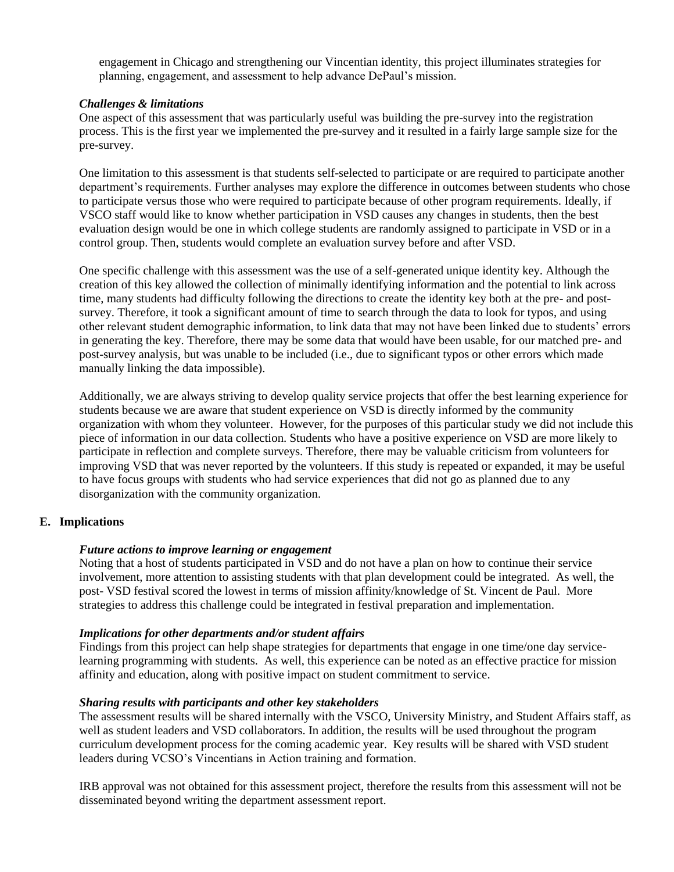engagement in Chicago and strengthening our Vincentian identity, this project illuminates strategies for planning, engagement, and assessment to help advance DePaul's mission.

#### *Challenges & limitations*

One aspect of this assessment that was particularly useful was building the pre-survey into the registration process. This is the first year we implemented the pre-survey and it resulted in a fairly large sample size for the pre-survey.

One limitation to this assessment is that students self-selected to participate or are required to participate another department's requirements. Further analyses may explore the difference in outcomes between students who chose to participate versus those who were required to participate because of other program requirements. Ideally, if VSCO staff would like to know whether participation in VSD causes any changes in students, then the best evaluation design would be one in which college students are randomly assigned to participate in VSD or in a control group. Then, students would complete an evaluation survey before and after VSD.

One specific challenge with this assessment was the use of a self-generated unique identity key. Although the creation of this key allowed the collection of minimally identifying information and the potential to link across time, many students had difficulty following the directions to create the identity key both at the pre- and postsurvey. Therefore, it took a significant amount of time to search through the data to look for typos, and using other relevant student demographic information, to link data that may not have been linked due to students' errors in generating the key. Therefore, there may be some data that would have been usable, for our matched pre- and post-survey analysis, but was unable to be included (i.e., due to significant typos or other errors which made manually linking the data impossible).

Additionally, we are always striving to develop quality service projects that offer the best learning experience for students because we are aware that student experience on VSD is directly informed by the community organization with whom they volunteer. However, for the purposes of this particular study we did not include this piece of information in our data collection. Students who have a positive experience on VSD are more likely to participate in reflection and complete surveys. Therefore, there may be valuable criticism from volunteers for improving VSD that was never reported by the volunteers. If this study is repeated or expanded, it may be useful to have focus groups with students who had service experiences that did not go as planned due to any disorganization with the community organization.

#### **E. Implications**

#### *Future actions to improve learning or engagement*

Noting that a host of students participated in VSD and do not have a plan on how to continue their service involvement, more attention to assisting students with that plan development could be integrated. As well, the post- VSD festival scored the lowest in terms of mission affinity/knowledge of St. Vincent de Paul. More strategies to address this challenge could be integrated in festival preparation and implementation.

#### *Implications for other departments and/or student affairs*

Findings from this project can help shape strategies for departments that engage in one time/one day servicelearning programming with students. As well, this experience can be noted as an effective practice for mission affinity and education, along with positive impact on student commitment to service.

#### *Sharing results with participants and other key stakeholders*

The assessment results will be shared internally with the VSCO, University Ministry, and Student Affairs staff, as well as student leaders and VSD collaborators. In addition, the results will be used throughout the program curriculum development process for the coming academic year. Key results will be shared with VSD student leaders during VCSO's Vincentians in Action training and formation.

IRB approval was not obtained for this assessment project, therefore the results from this assessment will not be disseminated beyond writing the department assessment report.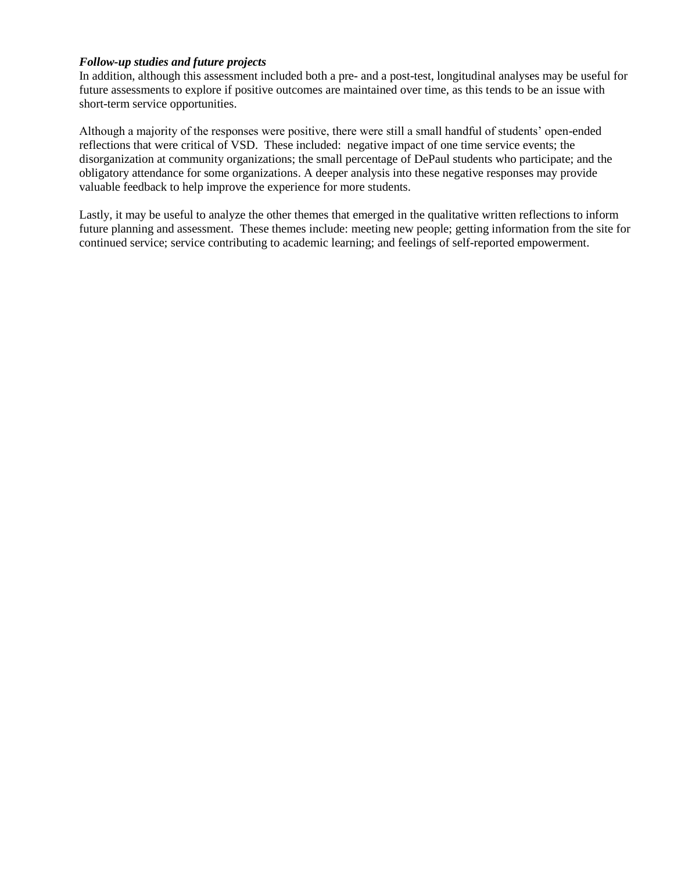#### *Follow-up studies and future projects*

In addition, although this assessment included both a pre- and a post-test, longitudinal analyses may be useful for future assessments to explore if positive outcomes are maintained over time, as this tends to be an issue with short-term service opportunities.

Although a majority of the responses were positive, there were still a small handful of students' open-ended reflections that were critical of VSD. These included: negative impact of one time service events; the disorganization at community organizations; the small percentage of DePaul students who participate; and the obligatory attendance for some organizations. A deeper analysis into these negative responses may provide valuable feedback to help improve the experience for more students.

Lastly, it may be useful to analyze the other themes that emerged in the qualitative written reflections to inform future planning and assessment. These themes include: meeting new people; getting information from the site for continued service; service contributing to academic learning; and feelings of self-reported empowerment.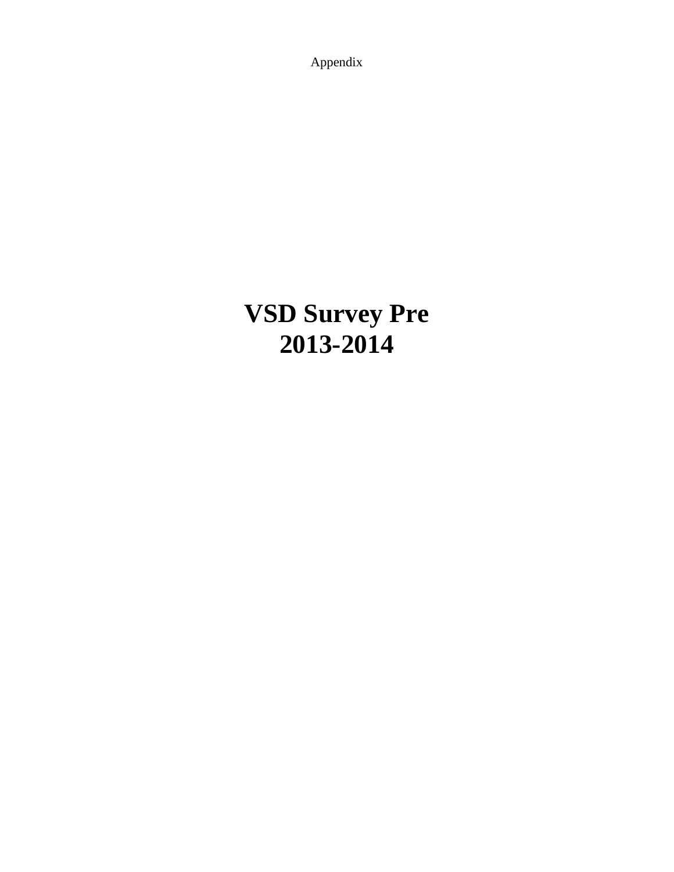Appendix

# **VSD Survey Pre 2013-2014**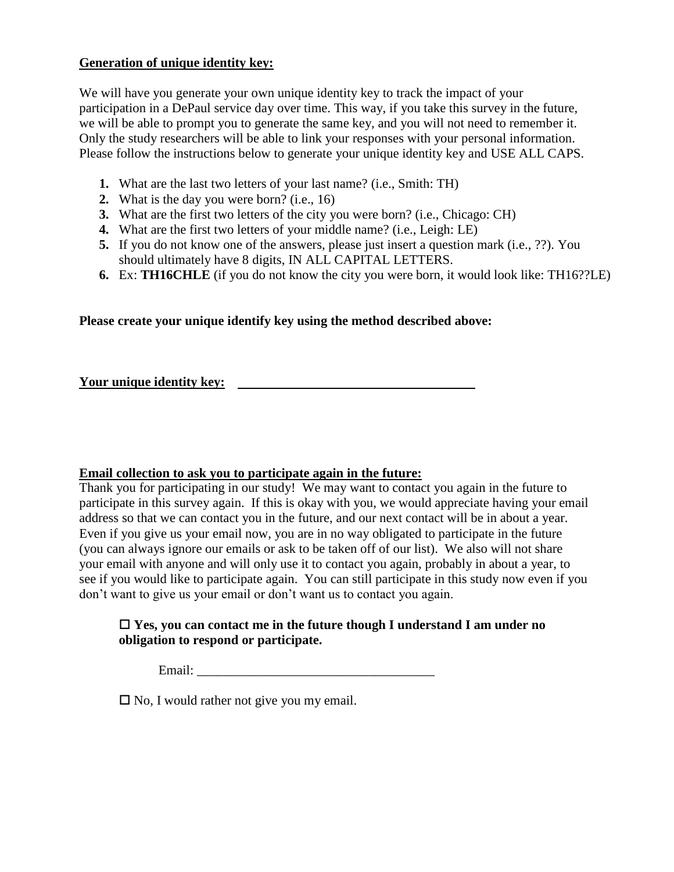# **Generation of unique identity key:**

We will have you generate your own unique identity key to track the impact of your participation in a DePaul service day over time. This way, if you take this survey in the future, we will be able to prompt you to generate the same key, and you will not need to remember it. Only the study researchers will be able to link your responses with your personal information. Please follow the instructions below to generate your unique identity key and USE ALL CAPS.

- **1.** What are the last two letters of your last name? (i.e., Smith: TH)
- **2.** What is the day you were born? (i.e., 16)
- **3.** What are the first two letters of the city you were born? (i.e., Chicago: CH)
- **4.** What are the first two letters of your middle name? (i.e., Leigh: LE)
- **5.** If you do not know one of the answers, please just insert a question mark (i.e., ??). You should ultimately have 8 digits, IN ALL CAPITAL LETTERS.
- **6.** Ex: **TH16CHLE** (if you do not know the city you were born, it would look like: TH16??LE)

# **Please create your unique identify key using the method described above:**

**Your unique identity key:**

# **Email collection to ask you to participate again in the future:**

Thank you for participating in our study! We may want to contact you again in the future to participate in this survey again. If this is okay with you, we would appreciate having your email address so that we can contact you in the future, and our next contact will be in about a year. Even if you give us your email now, you are in no way obligated to participate in the future (you can always ignore our emails or ask to be taken off of our list). We also will not share your email with anyone and will only use it to contact you again, probably in about a year, to see if you would like to participate again. You can still participate in this study now even if you don't want to give us your email or don't want us to contact you again.

# **Yes, you can contact me in the future though I understand I am under no obligation to respond or participate.**

Email:

 $\square$  No, I would rather not give you my email.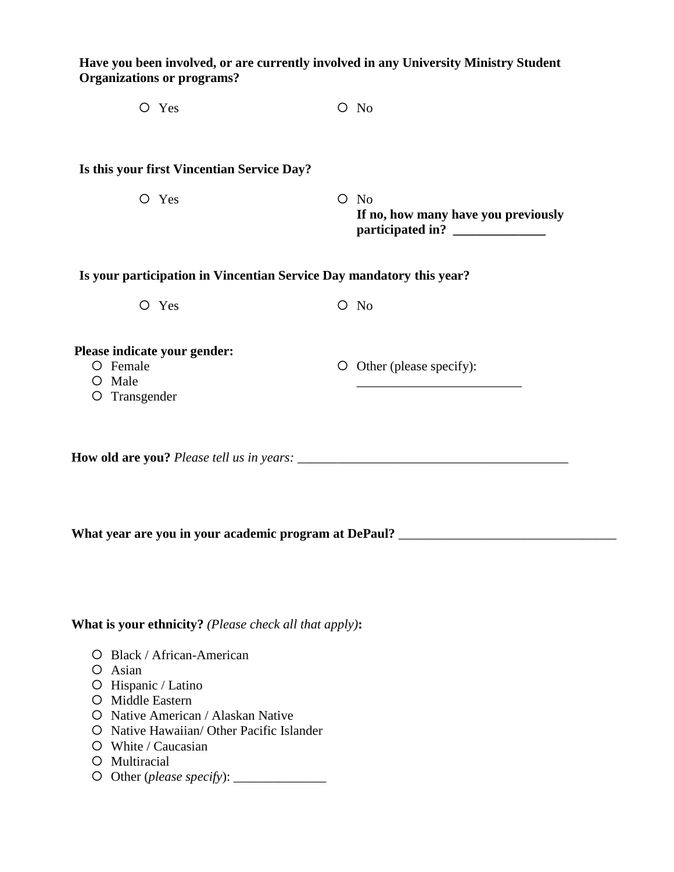**Have you been involved, or are currently involved in any University Ministry Student Organizations or programs?**

| $O$ Yes | $O$ No |
|---------|--------|
|---------|--------|

# **Is this your first Vincentian Service Day?**

O Yes O No **If no, how many have you previously**  participated in?

| Is your participation in Vincentian Service Day mandatory this year? |  |  |
|----------------------------------------------------------------------|--|--|
|                                                                      |  |  |

O Yes O No

Other (please specify):

\_\_\_\_\_\_\_\_\_\_\_\_\_\_\_\_\_\_\_\_\_\_\_\_\_

# **Please indicate your gender:**

- O Female
- O Male
- O Transgender

**How old are you?** Please tell us in years:

What year are you in your academic program at DePaul?

**What is your ethnicity?** *(Please check all that apply)***:**

- Black / African-American
- Asian
- $O$  Hispanic / Latino
- O Middle Eastern
- O Native American / Alaskan Native
- O Native Hawaiian/ Other Pacific Islander
- White / Caucasian
- O Multiracial
- Other (*please specify*): \_\_\_\_\_\_\_\_\_\_\_\_\_\_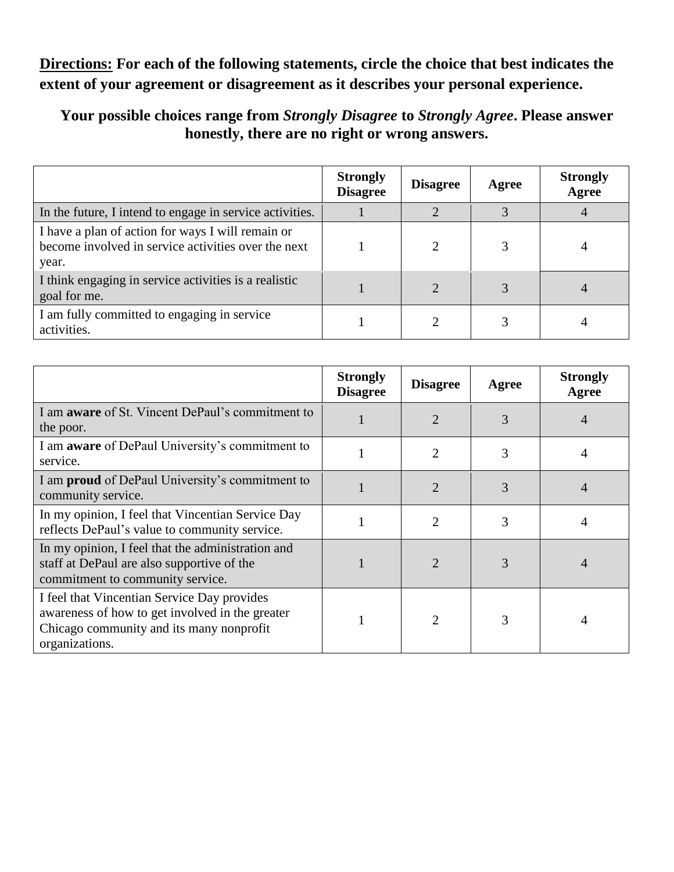**Directions: For each of the following statements, circle the choice that best indicates the extent of your agreement or disagreement as it describes your personal experience.**

**Your possible choices range from** *Strongly Disagree* **to** *Strongly Agree***. Please answer honestly, there are no right or wrong answers.**

|                                                                                                                   | <b>Strongly</b><br><b>Disagree</b> | <b>Disagree</b> | Agree | <b>Strongly</b><br>Agree |
|-------------------------------------------------------------------------------------------------------------------|------------------------------------|-----------------|-------|--------------------------|
| In the future, I intend to engage in service activities.                                                          |                                    |                 |       |                          |
| I have a plan of action for ways I will remain or<br>become involved in service activities over the next<br>year. |                                    | $\overline{2}$  |       |                          |
| I think engaging in service activities is a realistic<br>goal for me.                                             |                                    | $\overline{c}$  |       |                          |
| I am fully committed to engaging in service<br>activities.                                                        |                                    | ∍               |       |                          |

|                                                                                                                                                              | <b>Strongly</b><br><b>Disagree</b> | <b>Disagree</b>             | Agree | <b>Strongly</b><br>Agree |
|--------------------------------------------------------------------------------------------------------------------------------------------------------------|------------------------------------|-----------------------------|-------|--------------------------|
| I am <b>aware</b> of St. Vincent DePaul's commitment to<br>the poor.                                                                                         |                                    | $\overline{2}$              | 3     |                          |
| I am <b>aware</b> of DePaul University's commitment to<br>service.                                                                                           |                                    | 2                           | 3     |                          |
| I am <b>proud</b> of DePaul University's commitment to<br>community service.                                                                                 |                                    | $\overline{2}$              | 3     | $\overline{4}$           |
| In my opinion, I feel that Vincentian Service Day<br>reflects DePaul's value to community service.                                                           |                                    | 2                           | 3     |                          |
| In my opinion, I feel that the administration and<br>staff at DePaul are also supportive of the<br>commitment to community service.                          |                                    | $\mathcal{D}_{\mathcal{A}}$ | 3     |                          |
| I feel that Vincentian Service Day provides<br>awareness of how to get involved in the greater<br>Chicago community and its many nonprofit<br>organizations. |                                    | 2                           | 3     |                          |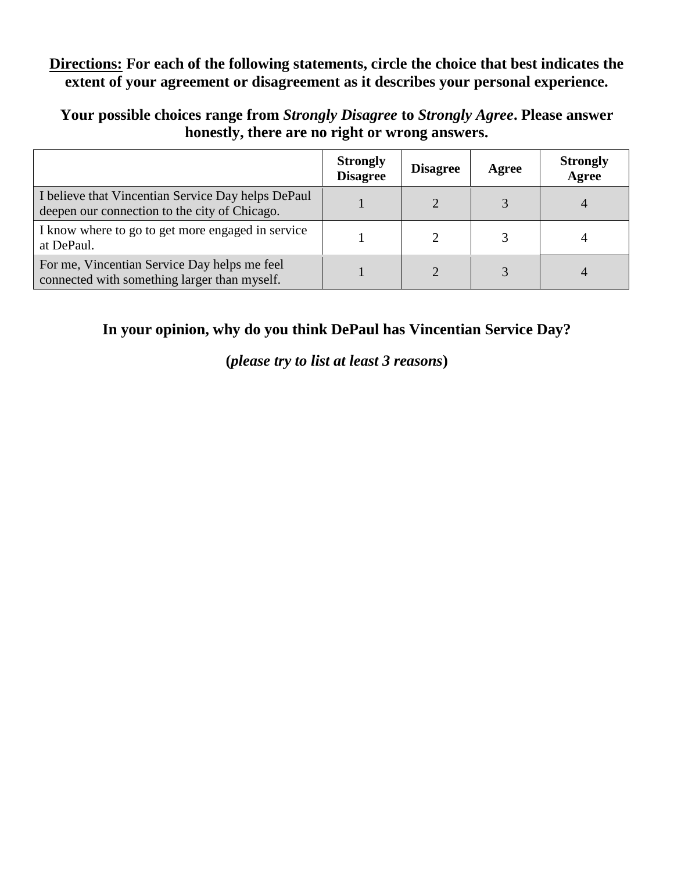# **Directions: For each of the following statements, circle the choice that best indicates the extent of your agreement or disagreement as it describes your personal experience.**

**Your possible choices range from** *Strongly Disagree* **to** *Strongly Agree***. Please answer honestly, there are no right or wrong answers.**

|                                                                                                     | <b>Strongly</b><br><b>Disagree</b> | <b>Disagree</b> | Agree | <b>Strongly</b><br>Agree |
|-----------------------------------------------------------------------------------------------------|------------------------------------|-----------------|-------|--------------------------|
| I believe that Vincentian Service Day helps DePaul<br>deepen our connection to the city of Chicago. |                                    | $\overline{2}$  |       |                          |
| I know where to go to get more engaged in service<br>at DePaul.                                     |                                    |                 |       |                          |
| For me, Vincentian Service Day helps me feel<br>connected with something larger than myself.        |                                    | $\bigcirc$      |       |                          |

# **In your opinion, why do you think DePaul has Vincentian Service Day?**

**(***please try to list at least 3 reasons***)**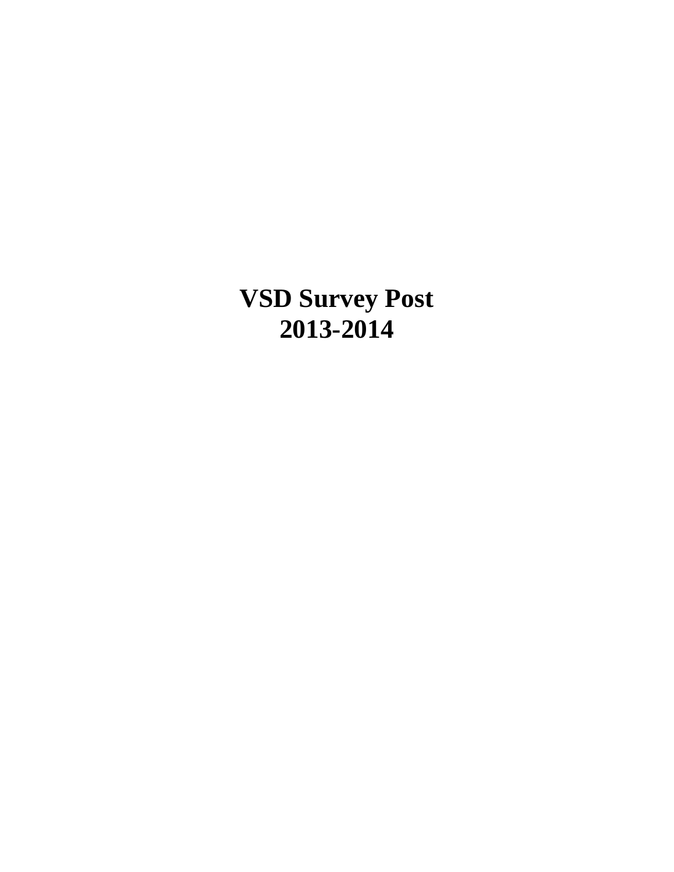**VSD Survey Post 2013-2014**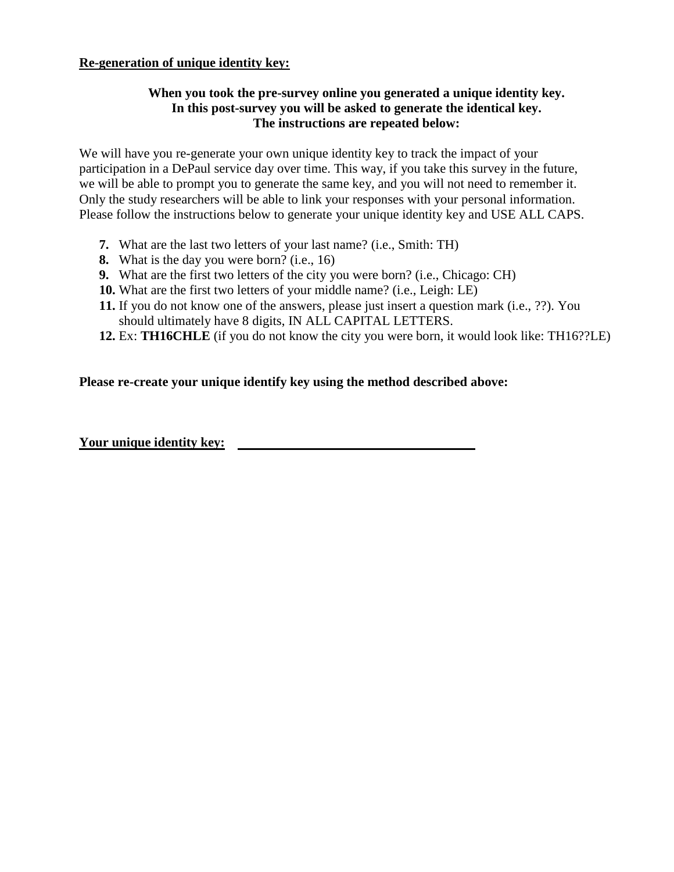# **Re-generation of unique identity key:**

# **When you took the pre-survey online you generated a unique identity key. In this post-survey you will be asked to generate the identical key. The instructions are repeated below:**

We will have you re-generate your own unique identity key to track the impact of your participation in a DePaul service day over time. This way, if you take this survey in the future, we will be able to prompt you to generate the same key, and you will not need to remember it. Only the study researchers will be able to link your responses with your personal information. Please follow the instructions below to generate your unique identity key and USE ALL CAPS.

- **7.** What are the last two letters of your last name? (i.e., Smith: TH)
- **8.** What is the day you were born? (i.e., 16)
- **9.** What are the first two letters of the city you were born? (i.e., Chicago: CH)
- **10.** What are the first two letters of your middle name? (i.e., Leigh: LE)
- **11.** If you do not know one of the answers, please just insert a question mark (i.e., ??). You should ultimately have 8 digits, IN ALL CAPITAL LETTERS.
- **12.** Ex: **TH16CHLE** (if you do not know the city you were born, it would look like: TH16??LE)

# **Please re-create your unique identify key using the method described above:**

**Your unique identity key:**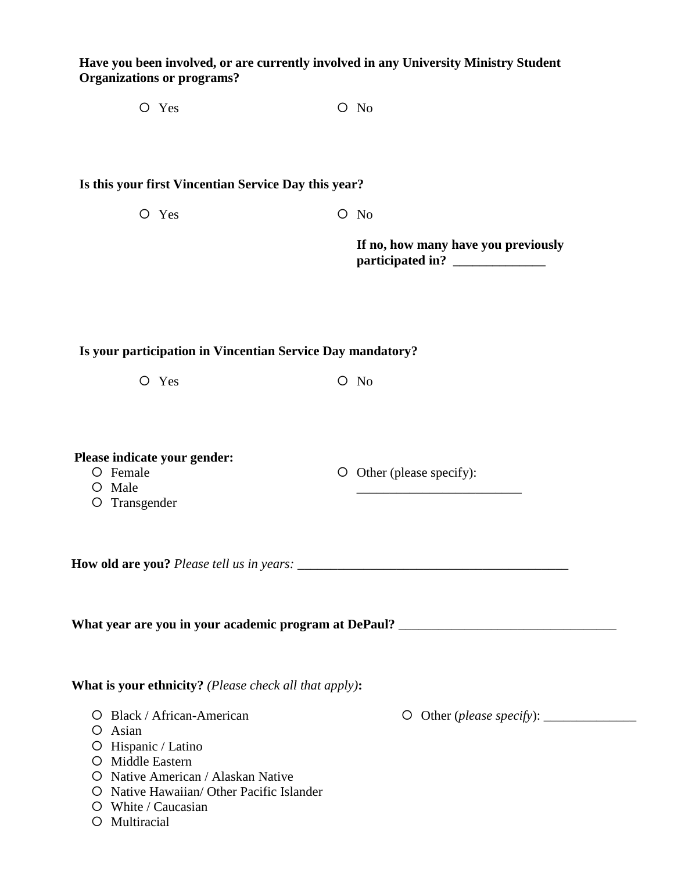# **Have you been involved, or are currently involved in any University Ministry Student Organizations or programs?**

O Yes O No

### **Is this your first Vincentian Service Day this year?**

O Yes O No

**If no, how many have you previously participated in? \_\_\_\_\_\_\_\_\_\_\_\_\_\_**

# **Is your participation in Vincentian Service Day mandatory?**

O Yes O No

**Please indicate your gender:**

- O Female
- O Male
- O Transgender

**How old are you?** Please tell us in years:

What year are you in your academic program at DePaul? \_\_\_\_\_\_\_\_\_\_\_\_\_\_\_\_\_\_\_\_\_\_\_\_\_\_\_

# **What is your ethnicity?** *(Please check all that apply)***:**

- Black / African-American
- Asian
- $O$  Hispanic / Latino
- O Middle Eastern
- O Native American / Alaskan Native
- O Native Hawaiian/ Other Pacific Islander
- White / Caucasian
- O Multiracial

\_\_\_\_\_\_\_\_\_\_\_\_\_\_\_\_\_\_\_\_\_\_\_\_\_

Other (please specify):

O Other (*please specify*):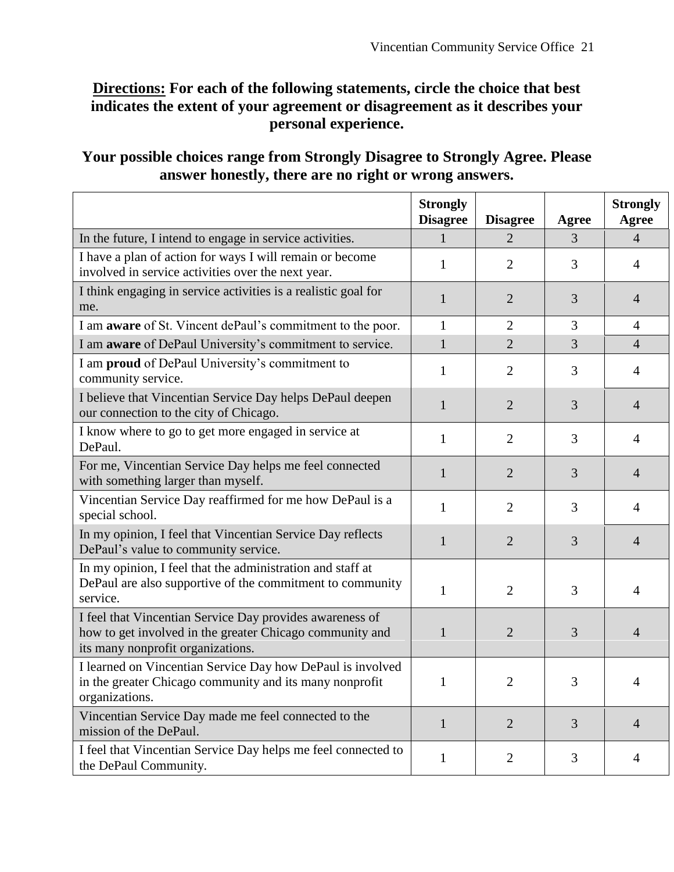# **Directions: For each of the following statements, circle the choice that best indicates the extent of your agreement or disagreement as it describes your personal experience.**

# **Your possible choices range from Strongly Disagree to Strongly Agree. Please answer honestly, there are no right or wrong answers.**

|                                                                                                                                                           | <b>Strongly</b><br><b>Disagree</b> | <b>Disagree</b> | <b>Agree</b> | <b>Strongly</b><br>Agree |
|-----------------------------------------------------------------------------------------------------------------------------------------------------------|------------------------------------|-----------------|--------------|--------------------------|
| In the future, I intend to engage in service activities.                                                                                                  | $\mathbf{1}$                       | $\overline{2}$  | 3            | $\overline{4}$           |
| I have a plan of action for ways I will remain or become<br>involved in service activities over the next year.                                            | $\mathbf{1}$                       | $\overline{2}$  | 3            | $\overline{4}$           |
| I think engaging in service activities is a realistic goal for<br>me.                                                                                     | $\mathbf{1}$                       | $\overline{2}$  | 3            | $\overline{4}$           |
| I am <b>aware</b> of St. Vincent dePaul's commitment to the poor.                                                                                         | $\mathbf{1}$                       | 2               | 3            | $\overline{4}$           |
| I am aware of DePaul University's commitment to service.                                                                                                  | $\mathbf{1}$                       | $\overline{2}$  | 3            | $\overline{4}$           |
| I am proud of DePaul University's commitment to<br>community service.                                                                                     | $\mathbf{1}$                       | $\overline{2}$  | 3            | 4                        |
| I believe that Vincentian Service Day helps DePaul deepen<br>our connection to the city of Chicago.                                                       | $\mathbf{1}$                       | $\overline{2}$  | 3            | $\overline{4}$           |
| I know where to go to get more engaged in service at<br>DePaul.                                                                                           | $\mathbf{1}$                       | $\overline{2}$  | 3            | $\overline{4}$           |
| For me, Vincentian Service Day helps me feel connected<br>with something larger than myself.                                                              | $\mathbf{1}$                       | $\overline{2}$  | 3            | $\overline{4}$           |
| Vincentian Service Day reaffirmed for me how DePaul is a<br>special school.                                                                               | 1                                  | 2               | 3            | 4                        |
| In my opinion, I feel that Vincentian Service Day reflects<br>DePaul's value to community service.                                                        | 1                                  | $\overline{2}$  | 3            | $\overline{4}$           |
| In my opinion, I feel that the administration and staff at<br>DePaul are also supportive of the commitment to community<br>service.                       | $\mathbf{1}$                       | $\overline{2}$  | 3            | $\overline{4}$           |
| I feel that Vincentian Service Day provides awareness of<br>how to get involved in the greater Chicago community and<br>its many nonprofit organizations. | 1                                  | $\overline{2}$  | 3            | $\overline{4}$           |
| I learned on Vincentian Service Day how DePaul is involved<br>in the greater Chicago community and its many nonprofit<br>organizations.                   | $\mathbf{1}$                       | $\overline{2}$  | 3            | 4                        |
| Vincentian Service Day made me feel connected to the<br>mission of the DePaul.                                                                            | $\mathbf{1}$                       | $\overline{2}$  | 3            | $\overline{4}$           |
| I feel that Vincentian Service Day helps me feel connected to<br>the DePaul Community.                                                                    | $\mathbf{1}$                       | $\overline{2}$  | 3            | 4                        |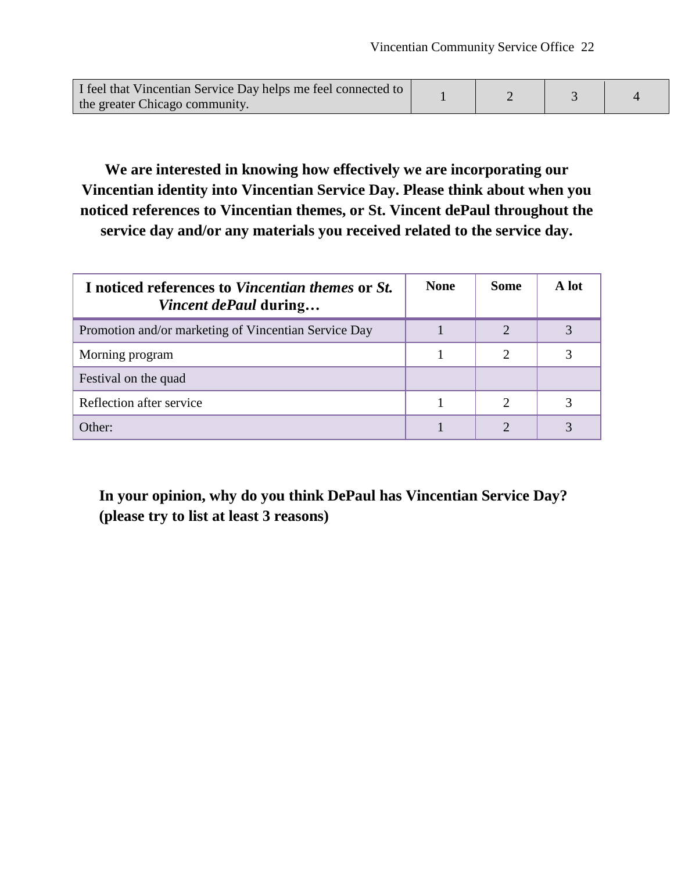| I feel that Vincentian Service Day helps me feel connected to |  |  |
|---------------------------------------------------------------|--|--|
| the greater Chicago community.                                |  |  |

**We are interested in knowing how effectively we are incorporating our Vincentian identity into Vincentian Service Day. Please think about when you noticed references to Vincentian themes, or St. Vincent dePaul throughout the service day and/or any materials you received related to the service day.** 

| I noticed references to Vincentian themes or St.<br><i>Vincent dePaul</i> during | <b>None</b> | <b>Some</b>                 | A lot |
|----------------------------------------------------------------------------------|-------------|-----------------------------|-------|
| Promotion and/or marketing of Vincentian Service Day                             |             |                             |       |
| Morning program                                                                  |             | $\mathcal{D}_{\mathcal{L}}$ |       |
| Festival on the quad                                                             |             |                             |       |
| Reflection after service                                                         |             | 2                           |       |
| Other:                                                                           |             |                             |       |

**In your opinion, why do you think DePaul has Vincentian Service Day? (please try to list at least 3 reasons)**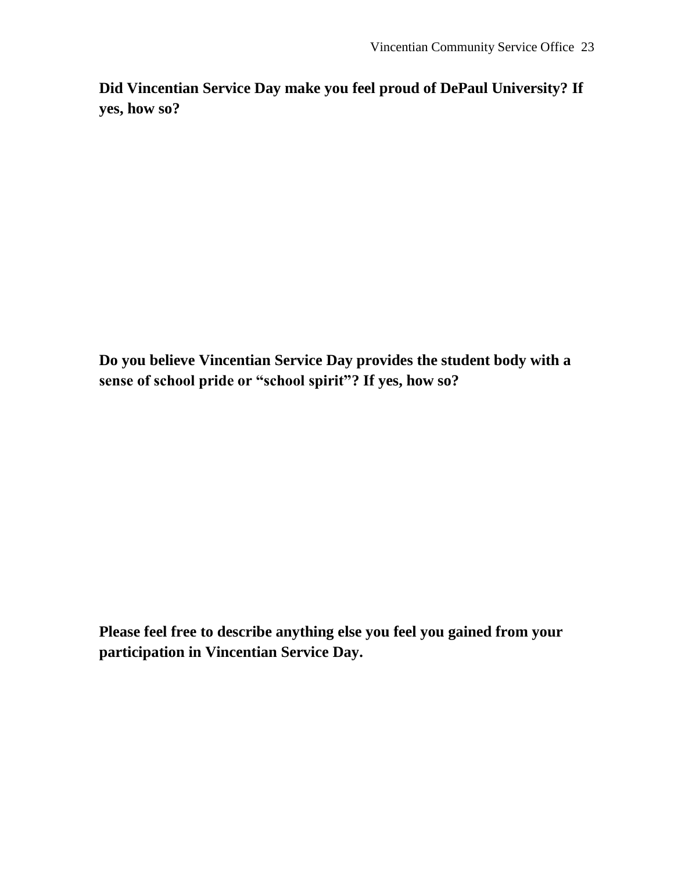**Did Vincentian Service Day make you feel proud of DePaul University? If yes, how so?**

**Do you believe Vincentian Service Day provides the student body with a sense of school pride or "school spirit"? If yes, how so?**

**Please feel free to describe anything else you feel you gained from your participation in Vincentian Service Day.**